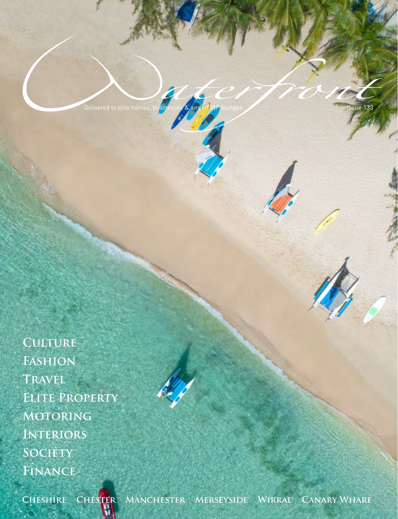Delivered to elite homes, businesses & airport VIP lounges and all the set of the set of the 133

**Culture Fashion Travel Elite Property Motoring Interiors**

м

**Society**

**Finance**



**Cheshire Chester Manchester Merseyside Wirral Canary Wharf**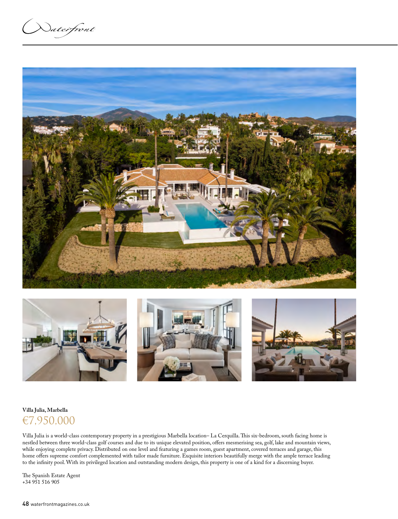**Naterfront** 





### **Villa Julia, Marbella**

## €7,950,000

Villa Julia is a world-class contemporary property in a prestigious Marbella location- La Cerquilla. This six-bedroom, south facing home is nestled between three world-class golf courses and due to its unique elevated position, offers mesmerising sea, golf, lake and mountain views, while enjoying complete privacy. Distributed on one level and featuring a games room, guest apartment, covered terraces and garage, this home offers supreme comfort complemented with tailor made furniture. Exquisite interiors beautifully merge with the ample terrace leading to the infinity pool. With its privileged location and outstanding modern design, this property is one of a kind for a discerning buyer.

The Spanish Estate Agent +34 951 516 905